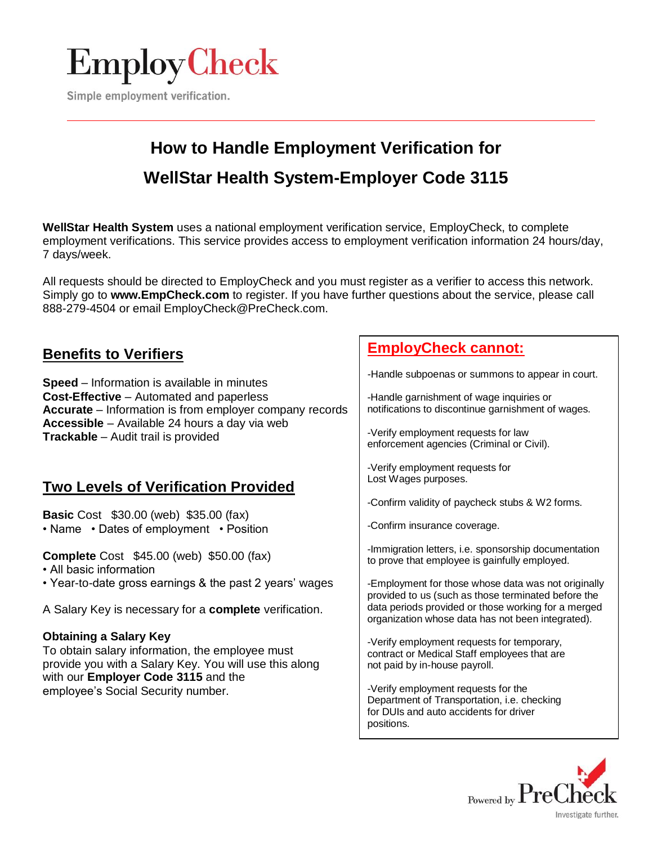

Simple employment verification.

## **How to Handle Employment Verification for WellStar Health System-Employer Code 3115**

**WellStar Health System** uses a national employment verification service, EmployCheck, to complete employment verifications. This service provides access to employment verification information 24 hours/day, 7 days/week.

All requests should be directed to EmployCheck and you must register as a verifier to access this network. Simply go to **[www.EmpCheck.com](http://www.empcheck.com/)** to register. If you have further questions about the service, please call 888-279-4504 or email EmployCheck@PreCheck.com.

## **Benefits to Verifiers**

**Speed** – Information is available in minutes **Cost-Effective** – Automated and paperless **Accurate** – Information is from employer company records **Accessible** – Available 24 hours a day via web **Trackable** – Audit trail is provided

## **Two Levels of Verification Provided**

**Basic** Cost \$30.00 (web) \$35.00 (fax) • Name • Dates of employment • Position

**Complete** Cost \$45.00 (web) \$50.00 (fax)

- All basic information
- Year-to-date gross earnings & the past 2 years' wages

A Salary Key is necessary for a **complete** verification.

### **Obtaining a Salary Key**

To obtain salary information, the employee must provide you with a Salary Key. You will use this along with our **Employer Code 3115** and the employee's Social Security number.

## **EmployCheck cannot:**

-Handle subpoenas or summons to appear in court.

-Handle garnishment of wage inquiries or notifications to discontinue garnishment of wages.

-Verify employment requests for law enforcement agencies (Criminal or Civil).

-Verify employment requests for Lost Wages purposes.

-Confirm validity of paycheck stubs & W2 forms.

-Confirm insurance coverage.

-Immigration letters, i.e. sponsorship documentation to prove that employee is gainfully employed.

-Employment for those whose data was not originally provided to us (such as those terminated before the data periods provided or those working for a merged organization whose data has not been integrated).

-Verify employment requests for temporary, contract or Medical Staff employees that are not paid by in-house payroll.

-Verify employment requests for the Department of Transportation, i.e. checking for DUIs and auto accidents for driver positions.

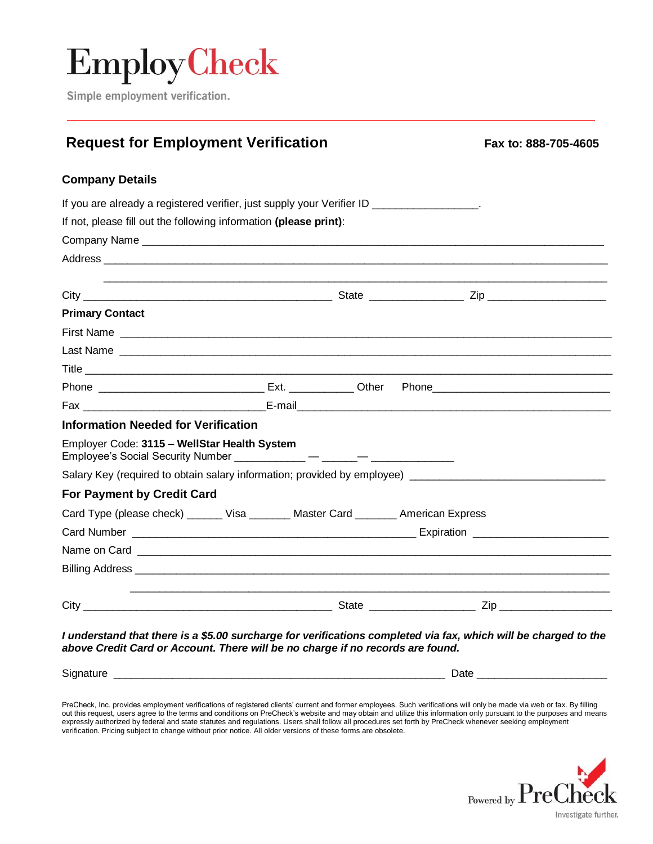# **EmployCheck**

Simple employment verification.

## **Request for Employment Verification Fax Excess** Fax to: 888-705-4605

### **Company Details**

| If you are already a registered verifier, just supply your Verifier ID __________________.                                                                                                                                           |  |  |
|--------------------------------------------------------------------------------------------------------------------------------------------------------------------------------------------------------------------------------------|--|--|
| If not, please fill out the following information (please print):                                                                                                                                                                    |  |  |
|                                                                                                                                                                                                                                      |  |  |
|                                                                                                                                                                                                                                      |  |  |
|                                                                                                                                                                                                                                      |  |  |
| <b>Primary Contact</b>                                                                                                                                                                                                               |  |  |
| First Name <b>contract the contract of the contract of the contract of the contract of the contract of the contract of the contract of the contract of the contract of the contract of the contract of the contract of the contr</b> |  |  |
|                                                                                                                                                                                                                                      |  |  |
|                                                                                                                                                                                                                                      |  |  |
|                                                                                                                                                                                                                                      |  |  |
|                                                                                                                                                                                                                                      |  |  |
| Information Needed for Verification                                                                                                                                                                                                  |  |  |
| Employer Code: 3115 - WellStar Health System<br>Employee's Social Security Number ____________ - _____- - ______                                                                                                                     |  |  |
| Salary Key (required to obtain salary information; provided by employee) ___________________________                                                                                                                                 |  |  |
| <b>For Payment by Credit Card</b>                                                                                                                                                                                                    |  |  |
| Card Type (please check) ______ Visa _______ Master Card _______ American Express                                                                                                                                                    |  |  |
|                                                                                                                                                                                                                                      |  |  |
|                                                                                                                                                                                                                                      |  |  |
|                                                                                                                                                                                                                                      |  |  |
|                                                                                                                                                                                                                                      |  |  |

*I understand that there is a \$5.00 surcharge for verifications completed via fax, which will be charged to the above Credit Card or Account. There will be no charge if no records are found.*

Signature \_\_\_\_\_\_\_\_\_\_\_\_\_\_\_\_\_\_\_\_\_\_\_\_\_\_\_\_\_\_\_\_\_\_\_\_\_\_\_\_\_\_\_\_\_\_\_\_\_\_\_\_\_\_\_\_ Date \_\_\_\_\_\_\_\_\_\_\_\_\_\_\_\_\_\_\_\_\_\_

PreCheck, Inc. provides employment verifications of registered clients' current and former employees. Such verifications will only be made via web or fax. By filling out this request, users agree to the terms and conditions on PreCheck's website and may obtain and utilize this information only pursuant to the purposes and means expressly authorized by federal and state statutes and regulations. Users shall follow all procedures set forth by PreCheck whenever seeking employment verification. Pricing subject to change without prior notice. All older versions of these forms are obsolete.